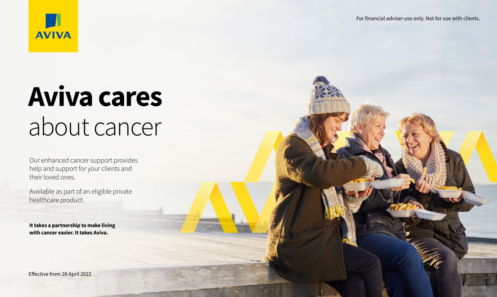

# **Aviva cares** about cancer

Our enhanced cancer support provides help and support for your clients and their loved ones.

Available as part of an eligible private healthcare product.

**It takes a partnership to make living with cancer easier. It takes Aviva.**

Effective from 28 April 2022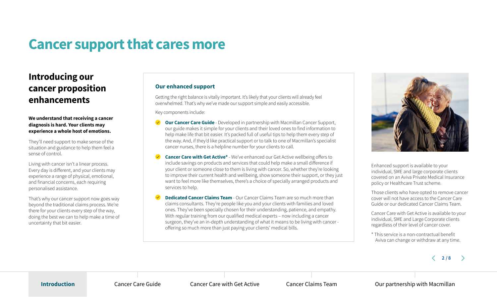## **Cancer support that cares more**

## **Introducing our cancer proposition enhancements**

### **We understand that receiving a cancer diagnosis is hard. Your clients may experience a whole host of emotions.**

They'll need support to make sense of the situation and guidance to help them feel a sense of control.

Living with cancer isn't a linear process. Every day is different, and your clients may experience a range of physical, emotional, and financial concerns, each requiring personalised assistance.

That's why our cancer support now goes way beyond the traditional claims process. We're there for your clients every step of the way, doing the best we can to help make a time of uncertainty that bit easier.

## **Our enhanced support**

Getting the right balance is vitally important. It's likely that your clients will already feel overwhelmed. That's why we've made our support simple and easily accessible.

Key components include:

- **Our Cancer Care Guide** Developed in partnership with Macmillan Cancer Support, our guide makes it simple for your clients and their loved ones to find information to help make life that bit easier. It's packed full of useful tips to help them every step of the way. And, if they'd like practical support or to talk to one of Macmillan's specialist cancer nurses, there is a helpline number for your clients to call.
- **Cancer Care with Get Active\*** We've enhanced our Get Active wellbeing offers to include savings on products and services that could help make a small difference if your client or someone close to them is living with cancer. So, whether they're looking to improve their current health and wellbeing, show someone their support, or they just want to feel more like themselves, there's a choice of specially arranged products and services to help.
- **Dedicated Cancer Claims Team** Our Cancer Claims Team are so much more than claims consultants. They're people like you and your clients with families and loved ones. They've been specially chosen for their understanding, patience, and empathy. With regular training from our qualified medical experts – now including a cancer surgeon, they've an in-depth understanding of what it means to be living with cancer offering so much more than just paying your clients' medical bills.



Enhanced support is available to your individual, SME and large corporate clients covered on an Aviva Private Medical Insurance policy or Healthcare Trust scheme.

Those clients who have opted to remove cancer cover will not have access to the Cancer Care Guide or our dedicated Cancer Claims Team.

Cancer Care with Get Active is available to your individual, SME and Large Corporate clients regardless of their level of cancer cover.

\* This service is a non-contractual benefit Aviva can change or withdraw at any time.

 $\langle$  2/8  $\rangle$ 

**Introduction** Cancer Care Guide Cancer Cancer Care with Get Active Cancer Claims Team Our partnership with Macmillan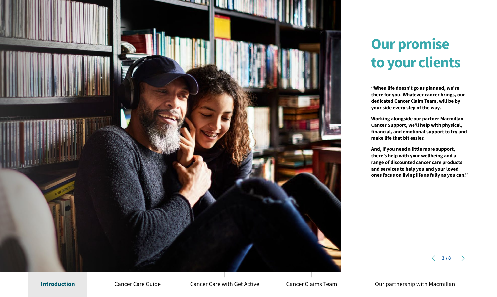

## **Our promise to your clients**

**"When life doesn't go as planned, we're there for you. Whatever cancer brings, our dedicated Cancer Claim Team, will be by your side every step of the way.**

**Working alongside our partner Macmillan Cancer Support, we'll help with physical, financial, and emotional support to try and make life that bit easier.**

**And, if you need a little more support, there's help with your wellbeing and a range of discounted cancer care products and services to help you and your loved ones focus on living life as fully as you can."**

 $\langle$  3/8  $\rangle$ 

Introduction Cancer Care Guide Cancer Care with Get Active Cancer Claims Team Our partnership with Macmillan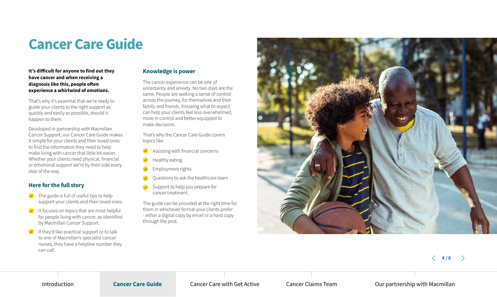## **Cancer Care Guide**

### **It's difficult for anyone to find out they have cancer and when receiving a diagnosis like this, people often experience a whirlwind of emotions.**

That's why it's essential that we're ready to guide your clients to the right support as quickly and easily as possible, should it happen to them.

Developed in partnership with Macmillan Cancer Support, our Cancer Care Guide makes it simple for your clients and their loved ones to find the information they need to help make living with cancer that little bit easier. Whether your clients need physical, financial or emotional support we're by their side every step of the way.

## **Here for the full story**

- **The guide is full of useful tips to help** support your clients and their loved ones.
- **↓** It focuses on topics that are most helpful for people living with cancer, as identified by Macmillan Cancer Support.
- $\blacktriangleright$  If they'd like practical support or to talk to one of Macmillan's specialist cancer nurses, they have a helpline number they can call.

## **Knowledge is power**

The cancer experience can be one of uncertainty and anxiety. No two days are the same. People are seeking a sense of control across the journey, for themselves and their family and friends. Knowing what to expect can help your clients feel less overwhelmed, more in control and better equipped to make decisions.

That's why the Cancer Care Guide covers topics like:

- ◆ Assisting with financial concerns
- Healthy eating
- Employment rights
- Questions to ask the healthcare team
- Support to help you prepare for cancer treatment.

The guide can be provided at the right time for them in whichever format your clients prefer - either a digital copy by email or a hard copy through the post.



 $\langle 4/8 \rangle$ 

Introduction **Cancer Care Guide** Cancer Care with Get Active Cancer Claims Team Our partnership with Macmillan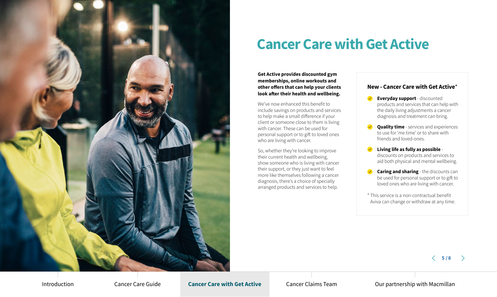

## **Cancer Care with Get Active**

**Get Active provides discounted gym memberships, online workouts and other offers that can help your clients look after their health and wellbeing.** 

We've now enhanced this benefit to include savings on products and services to help make a small difference if your client or someone close to them is living with cancer. These can be used for personal support or to gift to loved ones who are living with cancer.

So, whether they're looking to improve their current health and wellbeing, show someone who is living with cancer their support, or they just want to feel more like themselves following a cancer diagnosis, there's a choice of specially arranged products and services to help.

## **New - Cancer Care with Get Active**\*

- **Everyday support**  discounted products and services that can help with the daily living adjustments a cancer diagnosis and treatment can bring.
- *Quality time services and experiences* to use for 'me time' or to share with friends and loved-ones.
- **Living life as fully as possible**  discounts on products and services to aid both physical and mental wellbeing.
- **Caring and sharing** the discounts can be used for personal support or to gift to loved ones who are living with cancer.
- \* This service is a non-contractual benefit Aviva can change or withdraw at any time.

 $\langle 5/8 \rangle$ 

Introduction Cancer Care Guide **Cancer Care with Get Active** Cancer Claims Team Our partnership with Macmillan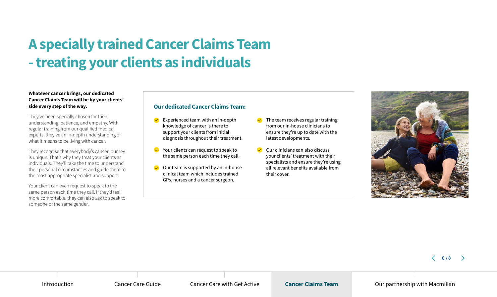## **A specially trained Cancer Claims Team - treating your clients as individuals**

### **Whatever cancer brings, our dedicated Cancer Claims Team will be by your clients' side every step of the way.**

They've been specially chosen for their understanding, patience, and empathy. With regular training from our qualified medical experts, they've an in-depth understanding of what it means to be living with cancer.

They recognise that everybody's cancer journey is unique. That's why they treat your clients as individuals. They'll take the time to understand their personal circumstances and guide them to the most appropriate specialist and support.

Your client can even request to speak to the same person each time they call. If they'd feel more comfortable, they can also ask to speak to someone of the same gender.

## **Our dedicated Cancer Claims Team:**

- Experienced team with an in-depth knowledge of cancer is there to support your clients from initial diagnosis throughout their treatment.
- $\vee$  Your clients can request to speak to the same person each time they call.
- Our team is supported by an in-house clinical team which includes trained GPs, nurses and a cancer surgeon.
- The team receives regular training from our in-house clinicians to ensure they're up to date with the latest developments.
- Our clinicians can also discuss your clients' treatment with their specialists and ensure they're using all relevant benefits available from their cover.



 $\langle 6/8 \rangle$ 

Introduction Cancer Care Guide Cancer Cancer Care with Get Active **Cancer Claims Team** Our partnership with Macmillan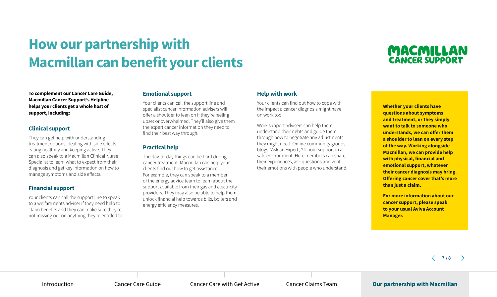## **How our partnership with Macmillan can benefit your clients**

## MACMILLAN **CANCER SUPPORT**

**To complement our Cancer Care Guide, Macmillan Cancer Support's Helpline helps your clients get a whole host of support, including:**

## **Clinical support**

They can get help with understanding treatment options, dealing with side effects, eating healthily and keeping active. They can also speak to a Macmillan Clinical Nurse Specialist to learn what to expect from their diagnosis and get key information on how to manage symptoms and side effects.

## **Financial support**

Your clients can call the support line to speak to a welfare rights adviser if they need help to claim benefits and they can make sure they're not missing out on anything they're entitled to.

## **Emotional support**

Your clients can call the support line and specialist cancer information advisers will offer a shoulder to lean on if they're feeling upset or overwhelmed. They'll also give them the expert cancer information they need to find their best way through.

## **Practical help**

The day-to-day things can be hard during cancer treatment. Macmillan can help your clients find out how to get assistance. For example, they can speak to a member of the energy advice team to learn about the support available from their gas and electricity providers. They may also be able to help them unlock financial help towards bills, boilers and energy efficiency measures.

## **Help with work**

Your clients can find out how to cope with the impact a cancer diagnosis might have on work too.

Work support advisers can help them understand their rights and guide them through how to negotiate any adjustments they might need. Online community groups, blogs, 'Ask an Expert', 24-hour support in a safe environment. Here members can share their experiences, ask questions and vent their emotions with people who understand. **Whether your clients have questions about symptoms and treatment, or they simply want to talk to someone who understands, we can offer them a shoulder to lean on every step of the way. Working alongside Macmillan, we can provide help with physical, financial and emotional support, whatever their cancer diagnosis may bring. Offering cancer cover that's more than just a claim.**

**For more information about our cancer support, please speak to your usual Aviva Account Manager.** 

 $\langle 7/8 \rangle$ 

Introduction Cancer Care Guide Cancer Care With Get Active Cancer Claims Team **Our partnership with Macmillan**